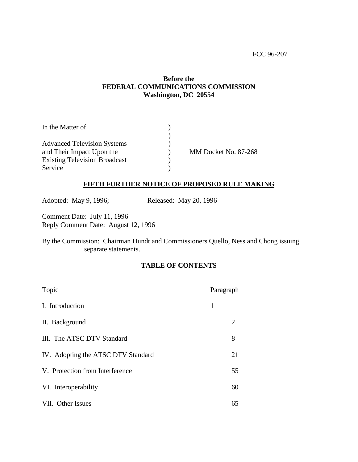# **Before the FEDERAL COMMUNICATIONS COMMISSION Washington, DC 20554**

| In the Matter of                     |                      |
|--------------------------------------|----------------------|
|                                      |                      |
| <b>Advanced Television Systems</b>   |                      |
| and Their Impact Upon the            | MM Docket No. 87-268 |
| <b>Existing Television Broadcast</b> |                      |
| Service                              |                      |

# **FIFTH FURTHER NOTICE OF PROPOSED RULE MAKING**

Adopted: May 9, 1996; Released: May 20, 1996

Comment Date: July 11, 1996 Reply Comment Date: August 12, 1996

By the Commission: Chairman Hundt and Commissioners Quello, Ness and Chong issuing separate statements.

# **TABLE OF CONTENTS**

| Topic                              | Paragraph |    |
|------------------------------------|-----------|----|
| I. Introduction                    | 1         |    |
| II. Background                     |           | 2  |
| III. The ATSC DTV Standard         |           | 8  |
| IV. Adopting the ATSC DTV Standard |           | 21 |
| V. Protection from Interference    |           | 55 |
| VI. Interoperability               |           | 60 |
| VII. Other Issues                  |           | 65 |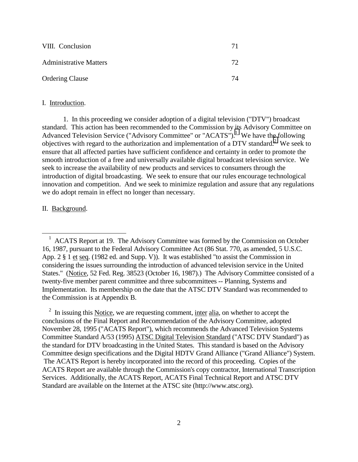| VIII. Conclusion              | 71 |
|-------------------------------|----|
| <b>Administrative Matters</b> | 72 |
| <b>Ordering Clause</b>        | 74 |

#### I. Introduction.

1. In this proceeding we consider adoption of a digital television ("DTV") broadcast standard. This action has been recommended to the Commission by its Advisory Committee on Advanced Television Service ("Advisory Committee" or "ACATS").<sup>1</sup> We have the following objectives with regard to the authorization and implementation of a DTV standard.<sup>2</sup> We seek to ensure that all affected parties have sufficient confidence and certainty in order to promote the smooth introduction of a free and universally available digital broadcast television service. We seek to increase the availability of new products and services to consumers through the introduction of digital broadcasting. We seek to ensure that our rules encourage technological innovation and competition. And we seek to minimize regulation and assure that any regulations we do adopt remain in effect no longer than necessary.

### II. Background.

<sup>1</sup> ACATS Report at 19. The Advisory Committee was formed by the Commission on October 16, 1987, pursuant to the Federal Advisory Committee Act (86 Stat. 770, as amended, 5 U.S.C. App. 2 § 1 et seq. (1982 ed. and Supp. V)). It was established "to assist the Commission in considering the issues surrounding the introduction of advanced television service in the United States." (Notice, 52 Fed. Reg. 38523 (October 16, 1987).) The Advisory Committee consisted of a twenty-five member parent committee and three subcommittees -- Planning, Systems and Implementation. Its membership on the date that the ATSC DTV Standard was recommended to the Commission is at Appendix B.

<sup>2</sup> In issuing this Notice, we are requesting comment, inter alia, on whether to accept the conclusions of the Final Report and Recommendation of the Advisory Committee, adopted November 28, 1995 ("ACATS Report"), which recommends the Advanced Television Systems Committee Standard A/53 (1995) ATSC Digital Television Standard ("ATSC DTV Standard") as the standard for DTV broadcasting in the United States. This standard is based on the Advisory Committee design specifications and the Digital HDTV Grand Alliance ("Grand Alliance") System. The ACATS Report is hereby incorporated into the record of this proceeding. Copies of the ACATS Report are available through the Commission's copy contractor, International Transcription Services. Additionally, the ACATS Report, ACATS Final Technical Report and ATSC DTV Standard are available on the Internet at the ATSC site (http://www.atsc.org).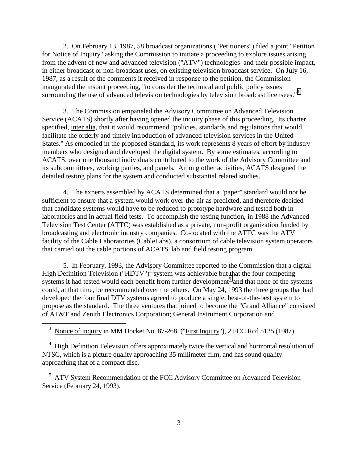2. On February 13, 1987, 58 broadcast organizations ("Petitioners") filed a joint "Petition for Notice of Inquiry" asking the Commission to initiate a proceeding to explore issues arising from the advent of new and advanced television ("ATV") technologies and their possible impact, in either broadcast or non-broadcast uses, on existing television broadcast service. On July 16, 1987, as a result of the comments it received in response to the petition, the Commission inaugurated the instant proceeding, "to consider the technical and public policy issues surrounding the use of advanced television technologies by television broadcast licensees."<sup>3</sup>

3. The Commission empaneled the Advisory Committee on Advanced Television Service (ACATS) shortly after having opened the inquiry phase of this proceeding. Its charter specified, inter alia, that it would recommend "policies, standards and regulations that would facilitate the orderly and timely introduction of advanced television services in the United States." As embodied in the proposed Standard, its work represents 8 years of effort by industry members who designed and developed the digital system. By some estimates, according to ACATS, over one thousand individuals contributed to the work of the Advisory Committee and its subcommittees, working parties, and panels. Among other activities, ACATS designed the detailed testing plans for the system and conducted substantial related studies.

4. The experts assembled by ACATS determined that a "paper" standard would not be sufficient to ensure that a system would work over-the-air as predicted, and therefore decided that candidate systems would have to be reduced to prototype hardware and tested both in laboratories and in actual field tests. To accomplish the testing function, in 1988 the Advanced Television Test Center (ATTC) was established as a private, non-profit organization funded by broadcasting and electronic industry companies. Co-located with the ATTC was the ATV facility of the Cable Laboratories (CableLabs), a consortium of cable television system operators that carried out the cable portions of ACATS' lab and field testing program.

5. In February, 1993, the Advisory Committee reported to the Commission that a digital High Definition Television ("HDTV")<sup>4</sup> system was achievable but that the four competing systems it had tested would each benefit from further development<sup>5</sup> and that none of the systems could, at that time, be recommended over the others. On May 24, 1993 the three groups that had developed the four final DTV systems agreed to produce a single, best-of-the-best system to propose as the standard. The three ventures that joined to become the "Grand Alliance" consisted of AT&T and Zenith Electronics Corporation; General Instrument Corporation and

<sup>3</sup> Notice of Inquiry in MM Docket No. 87-268, ("First Inquiry"), 2 FCC Rcd 5125 (1987).

 $\overline{a}$ 

<sup>4</sup> High Definition Television offers approximately twice the vertical and horizontal resolution of NTSC, which is a picture quality approaching 35 millimeter film, and has sound quality approaching that of a compact disc.

<sup>5</sup> ATV System Recommendation of the FCC Advisory Committee on Advanced Television Service (February 24, 1993).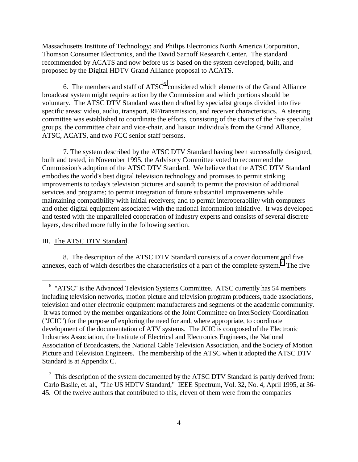Massachusetts Institute of Technology; and Philips Electronics North America Corporation, Thomson Consumer Electronics, and the David Sarnoff Research Center. The standard recommended by ACATS and now before us is based on the system developed, built, and proposed by the Digital HDTV Grand Alliance proposal to ACATS.

6. The members and staff of  $ATSC<sup>6</sup>$  considered which elements of the Grand Alliance broadcast system might require action by the Commission and which portions should be voluntary. The ATSC DTV Standard was then drafted by specialist groups divided into five specific areas: video, audio, transport, RF/transmission, and receiver characteristics. A steering committee was established to coordinate the efforts, consisting of the chairs of the five specialist groups, the committee chair and vice-chair, and liaison individuals from the Grand Alliance, ATSC, ACATS, and two FCC senior staff persons.

7. The system described by the ATSC DTV Standard having been successfully designed, built and tested, in November 1995, the Advisory Committee voted to recommend the Commission's adoption of the ATSC DTV Standard. We believe that the ATSC DTV Standard embodies the world's best digital television technology and promises to permit striking improvements to today's television pictures and sound; to permit the provision of additional services and programs; to permit integration of future substantial improvements while maintaining compatibility with initial receivers; and to permit interoperability with computers and other digital equipment associated with the national information initiative. It was developed and tested with the unparalleled cooperation of industry experts and consists of several discrete layers, described more fully in the following section.

### III. The ATSC DTV Standard.

 $\overline{a}$ 

8. The description of the ATSC DTV Standard consists of a cover document and five annexes, each of which describes the characteristics of a part of the complete system.<sup>7</sup> The five

<sup>&</sup>lt;sup>6</sup> "ATSC" is the Advanced Television Systems Committee. ATSC currently has 54 members including television networks, motion picture and television program producers, trade associations, television and other electronic equipment manufacturers and segments of the academic community. It was formed by the member organizations of the Joint Committee on InterSociety Coordination ("JCIC") for the purpose of exploring the need for and, where appropriate, to coordinate development of the documentation of ATV systems. The JCIC is composed of the Electronic Industries Association, the Institute of Electrical and Electronics Engineers, the National Association of Broadcasters, the National Cable Television Association, and the Society of Motion Picture and Television Engineers. The membership of the ATSC when it adopted the ATSC DTV Standard is at Appendix C.

 $\frac{7}{1}$  This description of the system documented by the ATSC DTV Standard is partly derived from: Carlo Basile, et. al., "The US HDTV Standard," IEEE Spectrum, Vol. 32, No. 4, April 1995, at 36- 45. Of the twelve authors that contributed to this, eleven of them were from the companies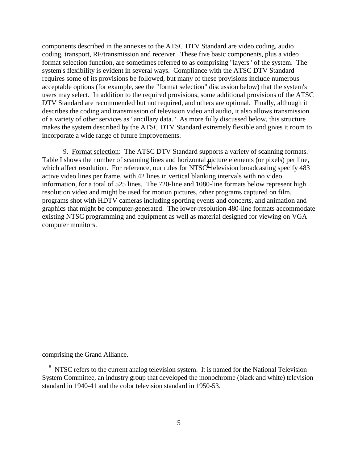components described in the annexes to the ATSC DTV Standard are video coding, audio coding, transport, RF/transmission and receiver. These five basic components, plus a video format selection function, are sometimes referred to as comprising "layers" of the system. The system's flexibility is evident in several ways. Compliance with the ATSC DTV Standard requires some of its provisions be followed, but many of these provisions include numerous acceptable options (for example, see the "format selection" discussion below) that the system's users may select. In addition to the required provisions, some additional provisions of the ATSC DTV Standard are recommended but not required, and others are optional. Finally, although it describes the coding and transmission of television video and audio, it also allows transmission of a variety of other services as "ancillary data." As more fully discussed below, this structure makes the system described by the ATSC DTV Standard extremely flexible and gives it room to incorporate a wide range of future improvements.

9. Format selection: The ATSC DTV Standard supports a variety of scanning formats. Table I shows the number of scanning lines and horizontal picture elements (or pixels) per line, which affect resolution. For reference, our rules for NTSC $\delta$  television broadcasting specify 483 active video lines per frame, with 42 lines in vertical blanking intervals with no video information, for a total of 525 lines. The 720-line and 1080-line formats below represent high resolution video and might be used for motion pictures, other programs captured on film, programs shot with HDTV cameras including sporting events and concerts, and animation and graphics that might be computer-generated. The lower-resolution 480-line formats accommodate existing NTSC programming and equipment as well as material designed for viewing on VGA computer monitors.

comprising the Grand Alliance.

<sup>&</sup>lt;sup>8</sup> NTSC refers to the current analog television system. It is named for the National Television System Committee, an industry group that developed the monochrome (black and white) television standard in 1940-41 and the color television standard in 1950-53.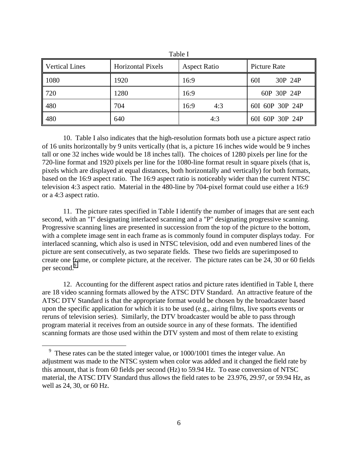| <b>Vertical Lines</b> | <b>Horizontal Pixels</b> | <b>Aspect Ratio</b> | <b>Picture Rate</b> |
|-----------------------|--------------------------|---------------------|---------------------|
| 1080                  | 1920                     | 16:9                | 30P 24P<br>60I      |
| 720                   | 1280                     | 16:9                | 60P 30P 24P         |
| 480                   | 704                      | 16:9<br>4:3         | 60I 60P 30P 24P     |
| 480                   | 640                      | 4:3                 | 60I 60P 30P 24P     |

 $T<sub>0</sub>1.1<sub>0</sub>$  I

10. Table I also indicates that the high-resolution formats both use a picture aspect ratio of 16 units horizontally by 9 units vertically (that is, a picture 16 inches wide would be 9 inches tall or one 32 inches wide would be 18 inches tall). The choices of 1280 pixels per line for the 720-line format and 1920 pixels per line for the 1080-line format result in square pixels (that is, pixels which are displayed at equal distances, both horizontally and vertically) for both formats, based on the 16:9 aspect ratio. The 16:9 aspect ratio is noticeably wider than the current NTSC television 4:3 aspect ratio. Material in the 480-line by 704-pixel format could use either a 16:9 or a 4:3 aspect ratio.

11. The picture rates specified in Table I identify the number of images that are sent each second, with an "I" designating interlaced scanning and a "P" designating progressive scanning. Progressive scanning lines are presented in succession from the top of the picture to the bottom, with a complete image sent in each frame as is commonly found in computer displays today. For interlaced scanning, which also is used in NTSC television, odd and even numbered lines of the picture are sent consecutively, as two separate fields. These two fields are superimposed to create one frame, or complete picture, at the receiver. The picture rates can be 24, 30 or 60 fields per second.<sup>9</sup>

12. Accounting for the different aspect ratios and picture rates identified in Table I, there are 18 video scanning formats allowed by the ATSC DTV Standard. An attractive feature of the ATSC DTV Standard is that the appropriate format would be chosen by the broadcaster based upon the specific application for which it is to be used (e.g., airing films, live sports events or reruns of television series). Similarly, the DTV broadcaster would be able to pass through program material it receives from an outside source in any of these formats. The identified scanning formats are those used within the DTV system and most of them relate to existing

 $9$  These rates can be the stated integer value, or 1000/1001 times the integer value. An adjustment was made to the NTSC system when color was added and it changed the field rate by this amount, that is from 60 fields per second (Hz) to 59.94 Hz. To ease conversion of NTSC material, the ATSC DTV Standard thus allows the field rates to be 23.976, 29.97, or 59.94 Hz, as well as 24, 30, or 60 Hz.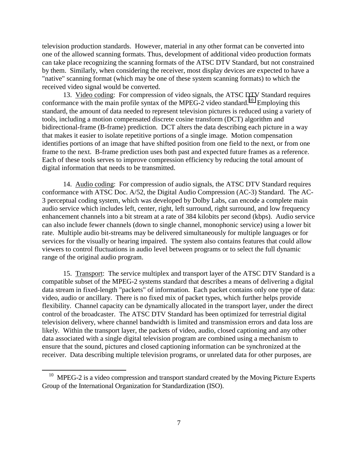television production standards. However, material in any other format can be converted into one of the allowed scanning formats. Thus, development of additional video production formats can take place recognizing the scanning formats of the ATSC DTV Standard, but not constrained by them. Similarly, when considering the receiver, most display devices are expected to have a "native" scanning format (which may be one of these system scanning formats) to which the received video signal would be converted.

13. Video coding: For compression of video signals, the ATSC DTV Standard requires conformance with the main profile syntax of the MPEG-2 video standard.<sup>10</sup> Employing this standard, the amount of data needed to represent television pictures is reduced using a variety of tools, including a motion compensated discrete cosine transform (DCT) algorithm and bidirectional-frame (B-frame) prediction. DCT alters the data describing each picture in a way that makes it easier to isolate repetitive portions of a single image. Motion compensation identifies portions of an image that have shifted position from one field to the next, or from one frame to the next. B-frame prediction uses both past and expected future frames as a reference. Each of these tools serves to improve compression efficiency by reducing the total amount of digital information that needs to be transmitted.

14. Audio coding: For compression of audio signals, the ATSC DTV Standard requires conformance with ATSC Doc. A/52, the Digital Audio Compression (AC-3) Standard. The AC-3 perceptual coding system, which was developed by Dolby Labs, can encode a complete main audio service which includes left, center, right, left surround, right surround, and low frequency enhancement channels into a bit stream at a rate of 384 kilobits per second (kbps). Audio service can also include fewer channels (down to single channel, monophonic service) using a lower bit rate. Multiple audio bit-streams may be delivered simultaneously for multiple languages or for services for the visually or hearing impaired. The system also contains features that could allow viewers to control fluctuations in audio level between programs or to select the full dynamic range of the original audio program.

15. Transport: The service multiplex and transport layer of the ATSC DTV Standard is a compatible subset of the MPEG-2 systems standard that describes a means of delivering a digital data stream in fixed-length "packets" of information. Each packet contains only one type of data: video, audio or ancillary. There is no fixed mix of packet types, which further helps provide flexibility. Channel capacity can be dynamically allocated in the transport layer, under the direct control of the broadcaster. The ATSC DTV Standard has been optimized for terrestrial digital television delivery, where channel bandwidth is limited and transmission errors and data loss are likely. Within the transport layer, the packets of video, audio, closed captioning and any other data associated with a single digital television program are combined using a mechanism to ensure that the sound, pictures and closed captioning information can be synchronized at the receiver. Data describing multiple television programs, or unrelated data for other purposes, are

 $10$  MPEG-2 is a video compression and transport standard created by the Moving Picture Experts Group of the International Organization for Standardization (ISO).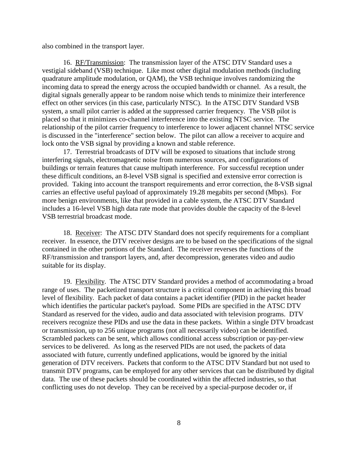also combined in the transport layer.

16. RF/Transmission: The transmission layer of the ATSC DTV Standard uses a vestigial sideband (VSB) technique. Like most other digital modulation methods (including quadrature amplitude modulation, or QAM), the VSB technique involves randomizing the incoming data to spread the energy across the occupied bandwidth or channel. As a result, the digital signals generally appear to be random noise which tends to minimize their interference effect on other services (in this case, particularly NTSC). In the ATSC DTV Standard VSB system, a small pilot carrier is added at the suppressed carrier frequency. The VSB pilot is placed so that it minimizes co-channel interference into the existing NTSC service. The relationship of the pilot carrier frequency to interference to lower adjacent channel NTSC service is discussed in the "interference" section below. The pilot can allow a receiver to acquire and lock onto the VSB signal by providing a known and stable reference.

17. Terrestrial broadcasts of DTV will be exposed to situations that include strong interfering signals, electromagnetic noise from numerous sources, and configurations of buildings or terrain features that cause multipath interference. For successful reception under these difficult conditions, an 8-level VSB signal is specified and extensive error correction is provided. Taking into account the transport requirements and error correction, the 8-VSB signal carries an effective useful payload of approximately 19.28 megabits per second (Mbps). For more benign environments, like that provided in a cable system, the ATSC DTV Standard includes a 16-level VSB high data rate mode that provides double the capacity of the 8-level VSB terrestrial broadcast mode.

18. Receiver: The ATSC DTV Standard does not specify requirements for a compliant receiver. In essence, the DTV receiver designs are to be based on the specifications of the signal contained in the other portions of the Standard. The receiver reverses the functions of the RF/transmission and transport layers, and, after decompression, generates video and audio suitable for its display.

19. Flexibility. The ATSC DTV Standard provides a method of accommodating a broad range of uses. The packetized transport structure is a critical component in achieving this broad level of flexibility. Each packet of data contains a packet identifier (PID) in the packet header which identifies the particular packet's payload. Some PIDs are specified in the ATSC DTV Standard as reserved for the video, audio and data associated with television programs. DTV receivers recognize these PIDs and use the data in these packets. Within a single DTV broadcast or transmission, up to 256 unique programs (not all necessarily video) can be identified. Scrambled packets can be sent, which allows conditional access subscription or pay-per-view services to be delivered. As long as the reserved PIDs are not used, the packets of data associated with future, currently undefined applications, would be ignored by the initial generation of DTV receivers. Packets that conform to the ATSC DTV Standard but not used to transmit DTV programs, can be employed for any other services that can be distributed by digital data. The use of these packets should be coordinated within the affected industries, so that conflicting uses do not develop. They can be received by a special-purpose decoder or, if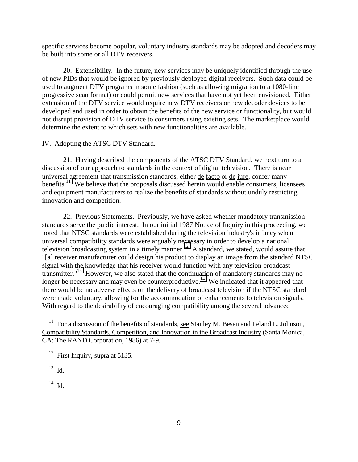specific services become popular, voluntary industry standards may be adopted and decoders may be built into some or all DTV receivers.

20. Extensibility. In the future, new services may be uniquely identified through the use of new PIDs that would be ignored by previously deployed digital receivers. Such data could be used to augment DTV programs in some fashion (such as allowing migration to a 1080-line progressive scan format) or could permit new services that have not yet been envisioned. Either extension of the DTV service would require new DTV receivers or new decoder devices to be developed and used in order to obtain the benefits of the new service or functionality, but would not disrupt provision of DTV service to consumers using existing sets. The marketplace would determine the extent to which sets with new functionalities are available.

### IV. Adopting the ATSC DTV Standard.

21. Having described the components of the ATSC DTV Standard, we next turn to a discussion of our approach to standards in the context of digital television. There is near universal agreement that transmission standards, either de facto or de jure, confer many benefits.<sup>11</sup> We believe that the proposals discussed herein would enable consumers, licensees and equipment manufacturers to realize the benefits of standards without unduly restricting innovation and competition.

22. Previous Statements. Previously, we have asked whether mandatory transmission standards serve the public interest. In our initial 1987 Notice of Inquiry in this proceeding, we noted that NTSC standards were established during the television industry's infancy when universal compatibility standards were arguably necessary in order to develop a national television broadcasting system in a timely manner.<sup>12</sup> A standard, we stated, would assure that "[a] receiver manufacturer could design his product to display an image from the standard NTSC signal with the knowledge that his receiver would function with any television broadcast transmitter."13 However, we also stated that the continuation of mandatory standards may no longer be necessary and may even be counterproductive.<sup>14</sup> We indicated that it appeared that there would be no adverse effects on the delivery of broadcast television if the NTSC standard were made voluntary, allowing for the accommodation of enhancements to television signals. With regard to the desirability of encouraging compatibility among the several advanced

<sup>&</sup>lt;sup>11</sup> For a discussion of the benefits of standards, see Stanley M. Besen and Leland L. Johnson, Compatibility Standards, Competition, and Innovation in the Broadcast Industry (Santa Monica, CA: The RAND Corporation, 1986) at 7-9.

 $12$  First Inquiry, supra at 5135.

 $^{13}$  Id.

 $^{14}$  <u>Id</u>.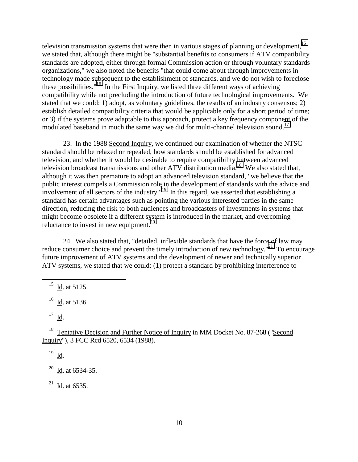television transmission systems that were then in various stages of planning or development,  $15$ we stated that, although there might be "substantial benefits to consumers if ATV compatibility standards are adopted, either through formal Commission action or through voluntary standards organizations," we also noted the benefits "that could come about through improvements in technology made subsequent to the establishment of standards, and we do not wish to foreclose these possibilities."<sup>16</sup> In the <u>First Inquiry</u>, we listed three different ways of achieving compatibility while not precluding the introduction of future technological improvements. We stated that we could: 1) adopt, as voluntary guidelines, the results of an industry consensus; 2) establish detailed compatibility criteria that would be applicable only for a short period of time; or 3) if the systems prove adaptable to this approach, protect a key frequency component of the modulated baseband in much the same way we did for multi-channel television sound.<sup>17</sup>

23. In the 1988 Second Inquiry, we continued our examination of whether the NTSC standard should be relaxed or repealed, how standards should be established for advanced television, and whether it would be desirable to require compatibility between advanced television broadcast transmissions and other ATV distribution media.<sup>18</sup> We also stated that, although it was then premature to adopt an advanced television standard, "we believe that the public interest compels a Commission role in the development of standards with the advice and involvement of all sectors of the industry."<sup>19</sup> In this regard, we asserted that establishing a standard has certain advantages such as pointing the various interested parties in the same direction, reducing the risk to both audiences and broadcasters of investments in systems that might become obsolete if a different system is introduced in the market, and overcoming reluctance to invest in new equipment. $^{20}$ 

24. We also stated that, "detailed, inflexible standards that have the force of law may reduce consumer choice and prevent the timely introduction of new technology."<sup>21</sup> To encourage future improvement of ATV systems and the development of newer and technically superior ATV systems, we stated that we could: (1) protect a standard by prohibiting interference to

 $16$  Id. at 5136.

 $17$  Id.

 $\overline{a}$ 

<sup>18</sup> Tentative Decision and Further Notice of Inquiry in MM Docket No. 87-268 ("Second Inquiry"), 3 FCC Rcd 6520, 6534 (1988).

 $^{19}$  <u>Id</u>.

 $20$  Id. at 6534-35.

 $^{21}$  Id. at 6535.

 $^{15}$  Id. at 5125.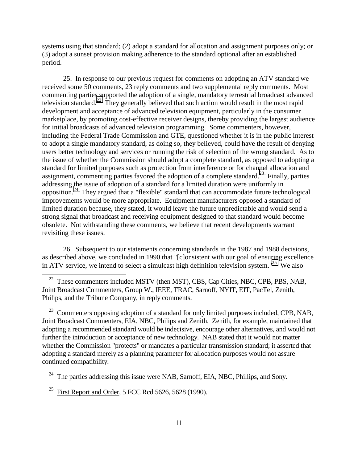systems using that standard; (2) adopt a standard for allocation and assignment purposes only; or (3) adopt a sunset provision making adherence to the standard optional after an established period.

25. In response to our previous request for comments on adopting an ATV standard we received some 50 comments, 23 reply comments and two supplemental reply comments. Most commenting parties supported the adoption of a single, mandatory terrestrial broadcast advanced television standard.<sup>22</sup> They generally believed that such action would result in the most rapid development and acceptance of advanced television equipment, particularly in the consumer marketplace, by promoting cost-effective receiver designs, thereby providing the largest audience for initial broadcasts of advanced television programming. Some commenters, however, including the Federal Trade Commission and GTE, questioned whether it is in the public interest to adopt a single mandatory standard, as doing so, they believed, could have the result of denying users better technology and services or running the risk of selection of the wrong standard. As to the issue of whether the Commission should adopt a complete standard, as opposed to adopting a standard for limited purposes such as protection from interference or for channel allocation and assignment, commenting parties favored the adoption of a complete standard.<sup>23</sup> Finally, parties addressing the issue of adoption of a standard for a limited duration were uniformly in opposition.24 They argued that a "flexible" standard that can accommodate future technological improvements would be more appropriate. Equipment manufacturers opposed a standard of limited duration because, they stated, it would leave the future unpredictable and would send a strong signal that broadcast and receiving equipment designed to that standard would become obsolete. Not withstanding these comments, we believe that recent developments warrant revisiting these issues.

26. Subsequent to our statements concerning standards in the 1987 and 1988 decisions, as described above, we concluded in 1990 that "[c]onsistent with our goal of ensuring excellence in ATV service, we intend to select a simulcast high definition television system."<sup>25</sup> We also

<sup>22</sup> These commenters included MSTV (then MST), CBS, Cap Cities, NBC, CPB, PBS, NAB, Joint Broadcast Commenters, Group W., IEEE, TRAC, Sarnoff, NYIT, EIT, PacTel, Zenith, Philips, and the Tribune Company, in reply comments.

<sup>23</sup> Commenters opposing adoption of a standard for only limited purposes included, CPB, NAB, Joint Broadcast Commenters, EIA, NBC, Philips and Zenith. Zenith, for example, maintained that adopting a recommended standard would be indecisive, encourage other alternatives, and would not further the introduction or acceptance of new technology. NAB stated that it would not matter whether the Commission "protects" or mandates a particular transmission standard; it asserted that adopting a standard merely as a planning parameter for allocation purposes would not assure continued compatibility.

 $24$  The parties addressing this issue were NAB, Sarnoff, EIA, NBC, Phillips, and Sony.

<sup>25</sup> First Report and Order, 5 FCC Rcd 5626, 5628 (1990).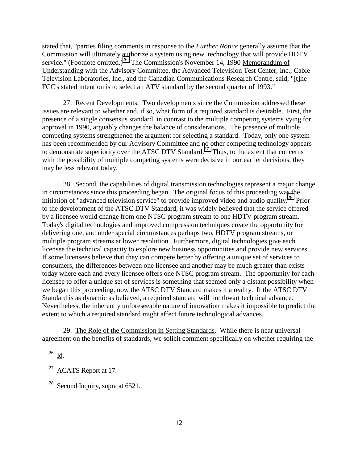stated that, "parties filing comments in response to the *Further Notice* generally assume that the Commission will ultimately authorize a system using new technology that will provide HDTV service." (Footnote omitted.)<sup>26</sup> The Commission's November 14, 1990 Memorandum of Understanding with the Advisory Committee, the Advanced Television Test Center, Inc., Cable Television Laboratories, Inc., and the Canadian Communications Research Centre, said, "[t]he FCC's stated intention is to select an ATV standard by the second quarter of 1993."

27. Recent Developments. Two developments since the Commission addressed these issues are relevant to whether and, if so, what form of a required standard is desirable. First, the presence of a single consensus standard, in contrast to the multiple competing systems vying for approval in 1990, arguably changes the balance of considerations. The presence of multiple competing systems strengthened the argument for selecting a standard. Today, only one system has been recommended by our Advisory Committee and no other competing technology appears to demonstrate superiority over the ATSC DTV Standard.<sup>27</sup> Thus, to the extent that concerns with the possibility of multiple competing systems were decisive in our earlier decisions, they may be less relevant today.

28. Second, the capabilities of digital transmission technologies represent a major change in circumstances since this proceeding began. The original focus of this proceeding was the initiation of "advanced television service" to provide improved video and audio quality.<sup>28</sup> Prior to the development of the ATSC DTV Standard, it was widely believed that the service offered by a licensee would change from one NTSC program stream to one HDTV program stream. Today's digital technologies and improved compression techniques create the opportunity for delivering one, and under special circumstances perhaps two, HDTV program streams, or multiple program streams at lower resolution. Furthermore, digital technologies give each licensee the technical capacity to explore new business opportunities and provide new services. If some licensees believe that they can compete better by offering a unique set of services to consumers, the differences between one licensee and another may be much greater than exists today where each and every licensee offers one NTSC program stream. The opportunity for each licensee to offer a unique set of services is something that seemed only a distant possibility when we began this proceeding, now the ATSC DTV Standard makes it a reality. If the ATSC DTV Standard is as dynamic as believed, a required standard will not thwart technical advance. Nevertheless, the inherently unforeseeable nature of innovation makes it impossible to predict the extent to which a required standard might affect future technological advances.

29. The Role of the Commission in Setting Standards. While there is near universal agreement on the benefits of standards, we solicit comment specifically on whether requiring the

 $^{26}$  Id.

<sup>&</sup>lt;sup>27</sup> ACATS Report at 17.

<sup>&</sup>lt;sup>28</sup> Second Inquiry, supra at  $6521$ .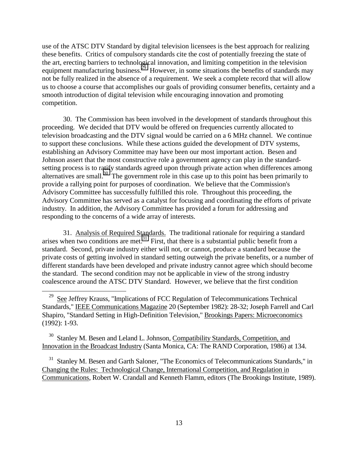use of the ATSC DTV Standard by digital television licensees is the best approach for realizing these benefits. Critics of compulsory standards cite the cost of potentially freezing the state of the art, erecting barriers to technological innovation, and limiting competition in the television equipment manufacturing business.<sup>29</sup> However, in some situations the benefits of standards may not be fully realized in the absence of a requirement. We seek a complete record that will allow us to choose a course that accomplishes our goals of providing consumer benefits, certainty and a smooth introduction of digital television while encouraging innovation and promoting competition.

30. The Commission has been involved in the development of standards throughout this proceeding. We decided that DTV would be offered on frequencies currently allocated to television broadcasting and the DTV signal would be carried on a 6 MHz channel. We continue to support these conclusions. While these actions guided the development of DTV systems, establishing an Advisory Committee may have been our most important action. Besen and Johnson assert that the most constructive role a government agency can play in the standardsetting process is to ratify standards agreed upon through private action when differences among alternatives are small.<sup>30</sup> The government role in this case up to this point has been primarily to provide a rallying point for purposes of coordination. We believe that the Commission's Advisory Committee has successfully fulfilled this role. Throughout this proceeding, the Advisory Committee has served as a catalyst for focusing and coordinating the efforts of private industry. In addition, the Advisory Committee has provided a forum for addressing and responding to the concerns of a wide array of interests.

31. Analysis of Required Standards. The traditional rationale for requiring a standard arises when two conditions are met.<sup>31</sup> First, that there is a substantial public benefit from a standard. Second, private industry either will not, or cannot, produce a standard because the private costs of getting involved in standard setting outweigh the private benefits, or a number of different standards have been developed and private industry cannot agree which should become the standard. The second condition may not be applicable in view of the strong industry coalescence around the ATSC DTV Standard. However, we believe that the first condition

 $\overline{a}$ 

<sup>30</sup> Stanley M. Besen and Leland L. Johnson, Compatibility Standards, Competition, and Innovation in the Broadcast Industry (Santa Monica, CA: The RAND Corporation, 1986) at 134.

<sup>31</sup> Stanley M. Besen and Garth Saloner, "The Economics of Telecommunications Standards," in Changing the Rules: Technological Change, International Competition, and Regulation in Communications, Robert W. Crandall and Kenneth Flamm, editors (The Brookings Institute, 1989).

<sup>&</sup>lt;sup>29</sup> See Jeffrey Krauss, "Implications of FCC Regulation of Telecommunications Technical Standards," IEEE Communications Magazine 20 (September 1982): 28-32; Joseph Farrell and Carl Shapiro, "Standard Setting in High-Definition Television," Brookings Papers: Microeconomics (1992): 1-93.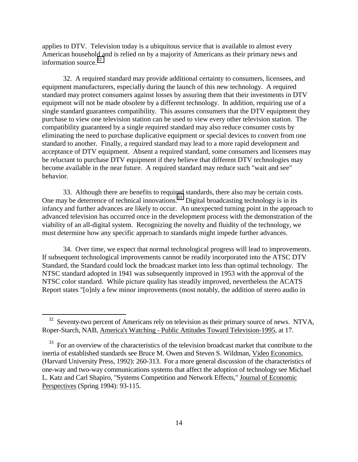applies to DTV. Television today is a ubiquitous service that is available to almost every American household and is relied on by a majority of Americans as their primary news and information source.<sup>32</sup>

32. A required standard may provide additional certainty to consumers, licensees, and equipment manufacturers, especially during the launch of this new technology. A required standard may protect consumers against losses by assuring them that their investments in DTV equipment will not be made obsolete by a different technology. In addition, requiring use of a single standard guarantees compatibility. This assures consumers that the DTV equipment they purchase to view one television station can be used to view every other television station. The compatibility guaranteed by a single required standard may also reduce consumer costs by eliminating the need to purchase duplicative equipment or special devices to convert from one standard to another. Finally, a required standard may lead to a more rapid development and acceptance of DTV equipment. Absent a required standard, some consumers and licensees may be reluctant to purchase DTV equipment if they believe that different DTV technologies may become available in the near future. A required standard may reduce such "wait and see" behavior.

33. Although there are benefits to required standards, there also may be certain costs. One may be deterrence of technical innovations.<sup>33</sup> Digital broadcasting technology is in its infancy and further advances are likely to occur. An unexpected turning point in the approach to advanced television has occurred once in the development process with the demonstration of the viability of an all-digital system. Recognizing the novelty and fluidity of the technology, we must determine how any specific approach to standards might impede further advances.

34. Over time, we expect that normal technological progress will lead to improvements. If subsequent technological improvements cannot be readily incorporated into the ATSC DTV Standard, the Standard could lock the broadcast market into less than optimal technology. The NTSC standard adopted in 1941 was subsequently improved in 1953 with the approval of the NTSC color standard. While picture quality has steadily improved, nevertheless the ACATS Report states "[o]nly a few minor improvements (most notably, the addition of stereo audio in

 $32$  Seventy-two percent of Americans rely on television as their primary source of news. NTVA, Roper-Starch, NAB, America's Watching - Public Attitudes Toward Television-1995, at 17.

<sup>&</sup>lt;sup>33</sup> For an overview of the characteristics of the television broadcast market that contribute to the inertia of established standards see Bruce M. Owen and Steven S. Wildman, Video Economics, (Harvard University Press, 1992): 260-313. For a more general discussion of the characteristics of one-way and two-way communications systems that affect the adoption of technology see Michael L. Katz and Carl Shapiro, "Systems Competition and Network Effects," Journal of Economic Perspectives (Spring 1994): 93-115.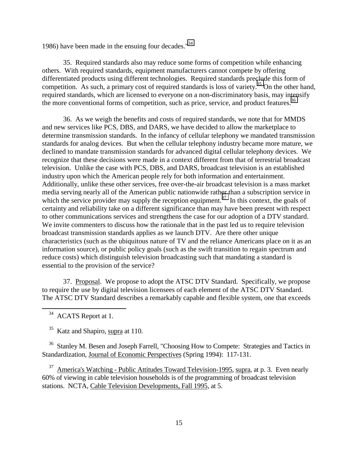1986) have been made in the ensuing four decades. $1986$ 

35. Required standards also may reduce some forms of competition while enhancing others. With required standards, equipment manufacturers cannot compete by offering differentiated products using different technologies. Required standards preclude this form of competition. As such, a primary cost of required standards is loss of variety.<sup>35</sup> On the other hand, required standards, which are licensed to everyone on a non-discriminatory basis, may intensify the more conventional forms of competition, such as price, service, and product features.<sup>36</sup>

36. As we weigh the benefits and costs of required standards, we note that for MMDS and new services like PCS, DBS, and DARS, we have decided to allow the marketplace to determine transmission standards. In the infancy of cellular telephony we mandated transmission standards for analog devices. But when the cellular telephony industry became more mature, we declined to mandate transmission standards for advanced digital cellular telephony devices. We recognize that these decisions were made in a context different from that of terrestrial broadcast television. Unlike the case with PCS, DBS, and DARS, broadcast television is an established industry upon which the American people rely for both information and entertainment. Additionally, unlike these other services, free over-the-air broadcast television is a mass market media serving nearly all of the American public nationwide rather than a subscription service in which the service provider may supply the reception equipment.<sup>37</sup> In this context, the goals of certainty and reliability take on a different significance than may have been present with respect to other communications services and strengthens the case for our adoption of a DTV standard. We invite commenters to discuss how the rationale that in the past led us to require television broadcast transmission standards applies as we launch DTV. Are there other unique characteristics (such as the ubiquitous nature of TV and the reliance Americans place on it as an information source), or public policy goals (such as the swift transition to regain spectrum and reduce costs) which distinguish television broadcasting such that mandating a standard is essential to the provision of the service?

37. Proposal. We propose to adopt the ATSC DTV Standard. Specifically, we propose to require the use by digital television licensees of each element of the ATSC DTV Standard. The ATSC DTV Standard describes a remarkably capable and flexible system, one that exceeds

<sup>34</sup> ACATS Report at 1.

 $\overline{a}$ 

<sup>35</sup> Katz and Shapiro, supra at 110.

<sup>36</sup> Stanley M. Besen and Joseph Farrell, "Choosing How to Compete: Strategies and Tactics in Standardization, Journal of Economic Perspectives (Spring 1994): 117-131.

 $37$  America's Watching - Public Attitudes Toward Television-1995, supra, at p. 3. Even nearly 60% of viewing in cable television households is of the programming of broadcast television stations. NCTA, Cable Television Developments, Fall 1995, at 5.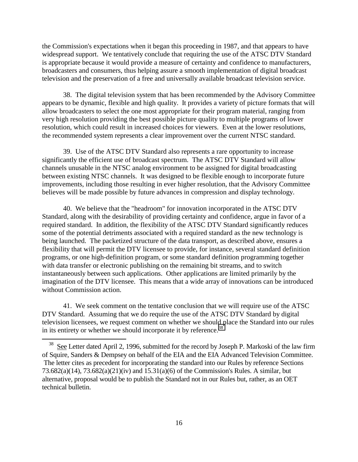the Commission's expectations when it began this proceeding in 1987, and that appears to have widespread support. We tentatively conclude that requiring the use of the ATSC DTV Standard is appropriate because it would provide a measure of certainty and confidence to manufacturers, broadcasters and consumers, thus helping assure a smooth implementation of digital broadcast television and the preservation of a free and universally available broadcast television service.

38. The digital television system that has been recommended by the Advisory Committee appears to be dynamic, flexible and high quality. It provides a variety of picture formats that will allow broadcasters to select the one most appropriate for their program material, ranging from very high resolution providing the best possible picture quality to multiple programs of lower resolution, which could result in increased choices for viewers. Even at the lower resolutions, the recommended system represents a clear improvement over the current NTSC standard.

39. Use of the ATSC DTV Standard also represents a rare opportunity to increase significantly the efficient use of broadcast spectrum. The ATSC DTV Standard will allow channels unusable in the NTSC analog environment to be assigned for digital broadcasting between existing NTSC channels. It was designed to be flexible enough to incorporate future improvements, including those resulting in ever higher resolution, that the Advisory Committee believes will be made possible by future advances in compression and display technology.

40. We believe that the "headroom" for innovation incorporated in the ATSC DTV Standard, along with the desirability of providing certainty and confidence, argue in favor of a required standard. In addition, the flexibility of the ATSC DTV Standard significantly reduces some of the potential detriments associated with a required standard as the new technology is being launched. The packetized structure of the data transport, as described above, ensures a flexibility that will permit the DTV licensee to provide, for instance, several standard definition programs, or one high-definition program, or some standard definition programming together with data transfer or electronic publishing on the remaining bit streams, and to switch instantaneously between such applications. Other applications are limited primarily by the imagination of the DTV licensee. This means that a wide array of innovations can be introduced without Commission action.

41. We seek comment on the tentative conclusion that we will require use of the ATSC DTV Standard. Assuming that we do require the use of the ATSC DTV Standard by digital television licensees, we request comment on whether we should place the Standard into our rules in its entirety or whether we should incorporate it by reference.<sup>38</sup>

<sup>&</sup>lt;sup>38</sup> See Letter dated April 2, 1996, submitted for the record by Joseph P. Markoski of the law firm of Squire, Sanders & Dempsey on behalf of the EIA and the EIA Advanced Television Committee. The letter cites as precedent for incorporating the standard into our Rules by reference Sections 73.682(a)(14), 73.682(a)(21)(iv) and 15.31(a)(6) of the Commission's Rules. A similar, but alternative, proposal would be to publish the Standard not in our Rules but, rather, as an OET technical bulletin.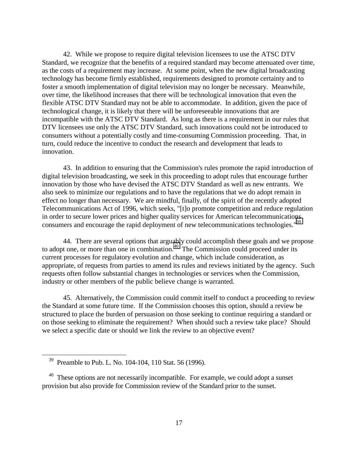42. While we propose to require digital television licensees to use the ATSC DTV Standard, we recognize that the benefits of a required standard may become attenuated over time, as the costs of a requirement may increase. At some point, when the new digital broadcasting technology has become firmly established, requirements designed to promote certainty and to foster a smooth implementation of digital television may no longer be necessary. Meanwhile, over time, the likelihood increases that there will be technological innovation that even the flexible ATSC DTV Standard may not be able to accommodate. In addition, given the pace of technological change, it is likely that there will be unforeseeable innovations that are incompatible with the ATSC DTV Standard. As long as there is a requirement in our rules that DTV licensees use only the ATSC DTV Standard, such innovations could not be introduced to consumers without a potentially costly and time-consuming Commission proceeding. That, in turn, could reduce the incentive to conduct the research and development that leads to innovation.

43. In addition to ensuring that the Commission's rules promote the rapid introduction of digital television broadcasting, we seek in this proceeding to adopt rules that encourage further innovation by those who have devised the ATSC DTV Standard as well as new entrants. We also seek to minimize our regulations and to have the regulations that we do adopt remain in effect no longer than necessary. We are mindful, finally, of the spirit of the recently adopted Telecommunications Act of 1996, which seeks, "[t]o promote competition and reduce regulation in order to secure lower prices and higher quality services for American telecommunications consumers and encourage the rapid deployment of new telecommunications technologies."<sup>39</sup>

44. There are several options that arguably could accomplish these goals and we propose to adopt one, or more than one in combination.<sup>40</sup> The Commission could proceed under its current processes for regulatory evolution and change, which include consideration, as appropriate, of requests from parties to amend its rules and reviews initiated by the agency. Such requests often follow substantial changes in technologies or services when the Commission, industry or other members of the public believe change is warranted.

45. Alternatively, the Commission could commit itself to conduct a proceeding to review the Standard at some future time. If the Commission chooses this option, should a review be structured to place the burden of persuasion on those seeking to continue requiring a standard or on those seeking to eliminate the requirement? When should such a review take place? Should we select a specific date or should we link the review to an objective event?

 $39$  Preamble to Pub. L. No. 104-104, 110 Stat. 56 (1996).

 $40$  These options are not necessarily incompatible. For example, we could adopt a sunset provision but also provide for Commission review of the Standard prior to the sunset.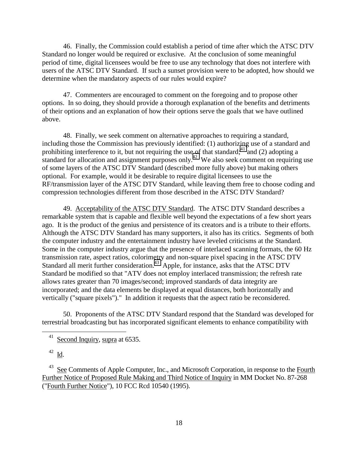46. Finally, the Commission could establish a period of time after which the ATSC DTV Standard no longer would be required or exclusive. At the conclusion of some meaningful period of time, digital licensees would be free to use any technology that does not interfere with users of the ATSC DTV Standard. If such a sunset provision were to be adopted, how should we determine when the mandatory aspects of our rules would expire?

47. Commenters are encouraged to comment on the foregoing and to propose other options. In so doing, they should provide a thorough explanation of the benefits and detriments of their options and an explanation of how their options serve the goals that we have outlined above.

48. Finally, we seek comment on alternative approaches to requiring a standard, including those the Commission has previously identified: (1) authorizing use of a standard and prohibiting interference to it, but not requiring the use of that standard; $41^{\circ}$  and (2) adopting a standard for allocation and assignment purposes only.<sup>42</sup> We also seek comment on requiring use of some layers of the ATSC DTV Standard (described more fully above) but making others optional. For example, would it be desirable to require digital licensees to use the RF/transmission layer of the ATSC DTV Standard, while leaving them free to choose coding and compression technologies different from those described in the ATSC DTV Standard?

49. Acceptability of the ATSC DTV Standard. The ATSC DTV Standard describes a remarkable system that is capable and flexible well beyond the expectations of a few short years ago. It is the product of the genius and persistence of its creators and is a tribute to their efforts. Although the ATSC DTV Standard has many supporters, it also has its critics. Segments of both the computer industry and the entertainment industry have leveled criticisms at the Standard. Some in the computer industry argue that the presence of interlaced scanning formats, the 60 Hz transmission rate, aspect ratios, colorimetry and non-square pixel spacing in the ATSC DTV Standard all merit further consideration.<sup>43</sup> Apple, for instance, asks that the ATSC DTV Standard be modified so that "ATV does not employ interlaced transmission; the refresh rate allows rates greater than 70 images/second; improved standards of data integrity are incorporated; and the data elements be displayed at equal distances, both horizontally and vertically ("square pixels")." In addition it requests that the aspect ratio be reconsidered.

50. Proponents of the ATSC DTV Standard respond that the Standard was developed for terrestrial broadcasting but has incorporated significant elements to enhance compatibility with

 $\overline{a}$ 

See Comments of Apple Computer, Inc., and Microsoft Corporation, in response to the Fourth Further Notice of Proposed Rule Making and Third Notice of Inquiry in MM Docket No. 87-268 ("Fourth Further Notice"), 10 FCC Rcd 10540 (1995).

 $41$  Second Inquiry, supra at 6535.

<sup>&</sup>lt;sup>42</sup> I<u>d</u>.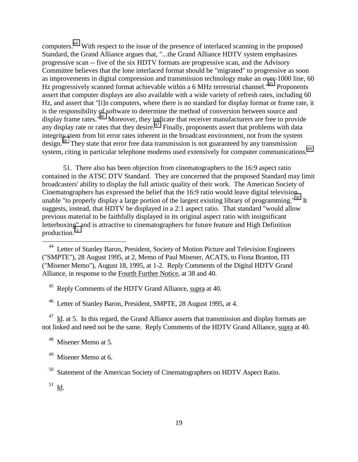computers.44 With respect to the issue of the presence of interlaced scanning in the proposed Standard, the Grand Alliance argues that, "...the Grand Alliance HDTV system emphasizes progressive scan -- five of the six HDTV formats are progressive scan, and the Advisory Committee believes that the lone interlaced format should be "migrated" to progressive as soon as improvements in digital compression and transmission technology make an over-1000 line, 60 Hz progressively scanned format achievable within a 6 MHz terrestrial channel."<sup>45</sup> Proponents assert that computer displays are also available with a wide variety of refresh rates, including 60 Hz, and assert that "[i]n computers, where there is no standard for display format or frame rate, it is the responsibility of software to determine the method of conversion between source and display frame rates."<sup>46</sup> Moreover, they indicate that receiver manufacturers are free to provide any display rate or rates that they desire.<sup>47</sup> Finally, proponents assert that problems with data integrity stem from bit error rates inherent in the broadcast environment, not from the system design.<sup>48</sup> They state that error free data transmission is not guaranteed by any transmission system, citing in particular telephone modems used extensively for computer communications.<sup>49</sup>

51. There also has been objection from cinematographers to the 16:9 aspect ratio contained in the ATSC DTV Standard. They are concerned that the proposed Standard may limit broadcasters' ability to display the full artistic quality of their work. The American Society of Cinematographers has expressed the belief that the 16:9 ratio would leave digital television unable "to properly display a large portion of the largest existing library of programming."<sup>50</sup> It suggests, instead, that HDTV be displayed in a 2:1 aspect ratio. That standard "would allow previous material to be faithfully displayed in its original aspect ratio with insignificant letterboxing" and is attractive to cinematographers for future feature and High Definition production.<sup>5</sup>

45 Reply Comments of the HDTV Grand Alliance, supra at 40.

46 Letter of Stanley Baron, President, SMPTE, 28 August 1995, at 4.

 $47$  Id. at 5. In this regard, the Grand Alliance asserts that transmission and display formats are not linked and need not be the same. Reply Comments of the HDTV Grand Alliance, supra at 40.

48 Misener Memo at 5.

<sup>50</sup> Statement of the American Society of Cinematographers on HDTV Aspect Ratio.

 $51 \underline{\text{Id}}$ .

<sup>&</sup>lt;sup>44</sup> Letter of Stanley Baron, President, Society of Motion Picture and Television Engineers ("SMPTE"), 28 August 1995, at 2, Memo of Paul Misener, ACATS, to Fiona Branton, ITI ("Misener Memo"), August 18, 1995, at 1-2. Reply Comments of the Digital HDTV Grand Alliance, in response to the Fourth Further Notice, at 38 and 40.

<sup>&</sup>lt;sup>49</sup> Misener Memo at 6.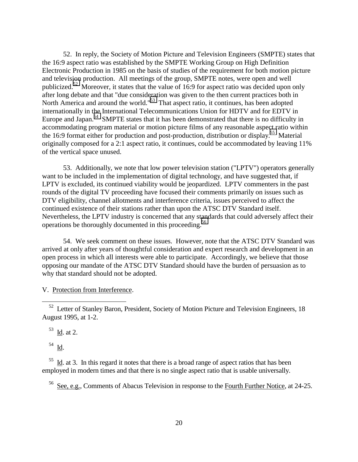52. In reply, the Society of Motion Picture and Television Engineers (SMPTE) states that the 16:9 aspect ratio was established by the SMPTE Working Group on High Definition Electronic Production in 1985 on the basis of studies of the requirement for both motion picture and television production. All meetings of the group, SMPTE notes, were open and well publicized.<sup>52</sup> Moreover, it states that the value of 16:9 for aspect ratio was decided upon only after long debate and that "due consideration was given to the then current practices both in North America and around the world."<sup>53</sup> That aspect ratio, it continues, has been adopted internationally in the International Telecommunications Union for HDTV and for EDTV in Europe and Japan.<sup>54</sup> SMPTE states that it has been demonstrated that there is no difficulty in accommodating program material or motion picture films of any reasonable aspect ratio within the 16:9 format either for production and post-production, distribution or display.<sup>55</sup> Material originally composed for a 2:1 aspect ratio, it continues, could be accommodated by leaving 11% of the vertical space unused.

53. Additionally, we note that low power television station ("LPTV") operators generally want to be included in the implementation of digital technology, and have suggested that, if LPTV is excluded, its continued viability would be jeopardized. LPTV commenters in the past rounds of the digital TV proceeding have focused their comments primarily on issues such as DTV eligibility, channel allotments and interference criteria, issues perceived to affect the continued existence of their stations rather than upon the ATSC DTV Standard itself. Nevertheless, the LPTV industry is concerned that any standards that could adversely affect their operations be thoroughly documented in this proceeding.<sup>56</sup>

54. We seek comment on these issues. However, note that the ATSC DTV Standard was arrived at only after years of thoughtful consideration and expert research and development in an open process in which all interests were able to participate. Accordingly, we believe that those opposing our mandate of the ATSC DTV Standard should have the burden of persuasion as to why that standard should not be adopted.

V. Protection from Interference.

 $53$  Id. at 2.

54 Id.

 $\overline{a}$ 

 $\frac{55}{10}$ . In this regard it notes that there is a broad range of aspect ratios that has been employed in modern times and that there is no single aspect ratio that is usable universally.

<sup>56</sup> See, <u>e.g.,</u> Comments of Abacus Television in response to the Fourth Further Notice, at 24-25.

<sup>&</sup>lt;sup>52</sup> Letter of Stanley Baron, President, Society of Motion Picture and Television Engineers, 18 August 1995, at 1-2.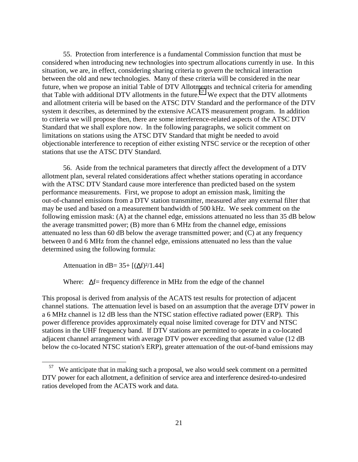55. Protection from interference is a fundamental Commission function that must be considered when introducing new technologies into spectrum allocations currently in use. In this situation, we are, in effect, considering sharing criteria to govern the technical interaction between the old and new technologies. Many of these criteria will be considered in the near future, when we propose an initial Table of DTV Allotments and technical criteria for amending that Table with additional DTV allotments in the future.<sup>57</sup> We expect that the DTV allotments and allotment criteria will be based on the ATSC DTV Standard and the performance of the DTV system it describes, as determined by the extensive ACATS measurement program. In addition to criteria we will propose then, there are some interference-related aspects of the ATSC DTV Standard that we shall explore now. In the following paragraphs, we solicit comment on limitations on stations using the ATSC DTV Standard that might be needed to avoid objectionable interference to reception of either existing NTSC service or the reception of other stations that use the ATSC DTV Standard.

56. Aside from the technical parameters that directly affect the development of a DTV allotment plan, several related considerations affect whether stations operating in accordance with the ATSC DTV Standard cause more interference than predicted based on the system performance measurements. First, we propose to adopt an emission mask, limiting the out-of-channel emissions from a DTV station transmitter, measured after any external filter that may be used and based on a measurement bandwidth of 500 kHz. We seek comment on the following emission mask: (A) at the channel edge, emissions attenuated no less than 35 dB below the average transmitted power; (B) more than 6 MHz from the channel edge, emissions attenuated no less than 60 dB below the average transmitted power; and (C) at any frequency between 0 and 6 MHz from the channel edge, emissions attenuated no less than the value determined using the following formula:

Attenuation in dB=  $35+[(\Delta f)^2/1.44]$ 

 $\overline{a}$ 

Where: ∆f= frequency difference in MHz from the edge of the channel

This proposal is derived from analysis of the ACATS test results for protection of adjacent channel stations. The attenuation level is based on an assumption that the average DTV power in a 6 MHz channel is 12 dB less than the NTSC station effective radiated power (ERP). This power difference provides approximately equal noise limited coverage for DTV and NTSC stations in the UHF frequency band. If DTV stations are permitted to operate in a co-located adjacent channel arrangement with average DTV power exceeding that assumed value (12 dB below the co-located NTSC station's ERP), greater attenuation of the out-of-band emissions may

 $57$  We anticipate that in making such a proposal, we also would seek comment on a permitted DTV power for each allotment, a definition of service area and interference desired-to-undesired ratios developed from the ACATS work and data.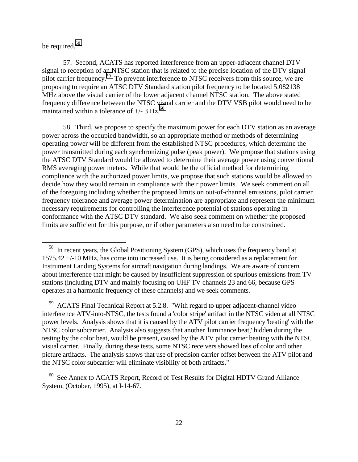# be required.<sup>58</sup>

 $\overline{a}$ 

57. Second, ACATS has reported interference from an upper-adjacent channel DTV signal to reception of an NTSC station that is related to the precise location of the DTV signal pilot carrier frequency.<sup>59</sup> To prevent interference to NTSC receivers from this source, we are proposing to require an ATSC DTV Standard station pilot frequency to be located 5.082138 MHz above the visual carrier of the lower adjacent channel NTSC station. The above stated frequency difference between the NTSC visual carrier and the DTV VSB pilot would need to be maintained within a tolerance of  $+/- 3$  Hz.<sup>60</sup>

58. Third, we propose to specify the maximum power for each DTV station as an average power across the occupied bandwidth, so an appropriate method or methods of determining operating power will be different from the established NTSC procedures, which determine the power transmitted during each synchronizing pulse (peak power). We propose that stations using the ATSC DTV Standard would be allowed to determine their average power using conventional RMS averaging power meters. While that would be the official method for determining compliance with the authorized power limits, we propose that such stations would be allowed to decide how they would remain in compliance with their power limits. We seek comment on all of the foregoing including whether the proposed limits on out-of-channel emissions, pilot carrier frequency tolerance and average power determination are appropriate and represent the minimum necessary requirements for controlling the interference potential of stations operating in conformance with the ATSC DTV standard. We also seek comment on whether the proposed limits are sufficient for this purpose, or if other parameters also need to be constrained.

58 In recent years, the Global Positioning System (GPS), which uses the frequency band at 1575.42 +/-10 MHz, has come into increased use. It is being considered as a replacement for Instrument Landing Systems for aircraft navigation during landings. We are aware of concern about interference that might be caused by insufficient suppression of spurious emissions from TV stations (including DTV and mainly focusing on UHF TV channels 23 and 66, because GPS operates at a harmonic frequency of these channels) and we seek comments.

59 ACATS Final Technical Report at 5.2.8. "With regard to upper adjacent-channel video interference ATV-into-NTSC, the tests found a 'color stripe' artifact in the NTSC video at all NTSC power levels. Analysis shows that it is caused by the ATV pilot carrier frequency 'beating' with the NTSC color subcarrier. Analysis also suggests that another 'luminance beat,' hidden during the testing by the color beat, would be present, caused by the ATV pilot carrier beating with the NTSC visual carrier. Finally, during these tests, some NTSC receivers showed loss of color and other picture artifacts. The analysis shows that use of precision carrier offset between the ATV pilot and the NTSC color subcarrier will eliminate visibility of both artifacts."

<sup>&</sup>lt;sup>60</sup> See Annex to ACATS Report, Record of Test Results for Digital HDTV Grand Alliance System, (October, 1995), at I-14-67.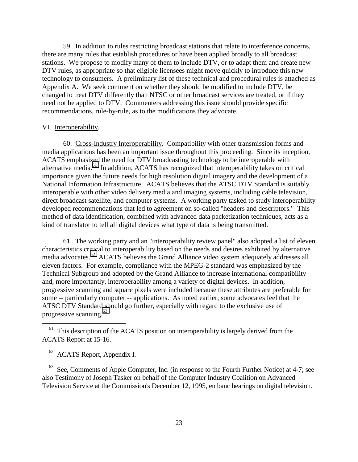59. In addition to rules restricting broadcast stations that relate to interference concerns, there are many rules that establish procedures or have been applied broadly to all broadcast stations. We propose to modify many of them to include DTV, or to adapt them and create new DTV rules, as appropriate so that eligible licensees might move quickly to introduce this new technology to consumers. A preliminary list of these technical and procedural rules is attached as Appendix A. We seek comment on whether they should be modified to include DTV, be changed to treat DTV differently than NTSC or other broadcast services are treated, or if they need not be applied to DTV. Commenters addressing this issue should provide specific recommendations, rule-by-rule, as to the modifications they advocate.

#### VI. Interoperability.

60. Cross-Industry Interoperability. Compatibility with other transmission forms and media applications has been an important issue throughout this proceeding. Since its inception, ACATS emphasized the need for DTV broadcasting technology to be interoperable with alternative media.<sup>61</sup> In addition, ACATS has recognized that interoperability takes on critical importance given the future needs for high resolution digital imagery and the development of a National Information Infrastructure. ACATS believes that the ATSC DTV Standard is suitably interoperable with other video delivery media and imaging systems, including cable television, direct broadcast satellite, and computer systems. A working party tasked to study interoperability developed recommendations that led to agreement on so-called "headers and descriptors." This method of data identification, combined with advanced data packetization techniques, acts as a kind of translator to tell all digital devices what type of data is being transmitted.

61. The working party and an "interoperability review panel" also adopted a list of eleven characteristics critical to interoperability based on the needs and desires exhibited by alternative media advocates.<sup>62</sup> ACATS believes the Grand Alliance video system adequately addresses all eleven factors. For example, compliance with the MPEG-2 standard was emphasized by the Technical Subgroup and adopted by the Grand Alliance to increase international compatibility and, more importantly, interoperability among a variety of digital devices. In addition, progressive scanning and square pixels were included because these attributes are preferable for some -- particularly computer -- applications. As noted earlier, some advocates feel that the ATSC DTV Standard should go further, especially with regard to the exclusive use of progressive scanning.<sup>63</sup>

62 ACATS Report, Appendix I.

 $\overline{a}$ 

 $^{63}$  See, Comments of Apple Computer, Inc. (in response to the Fourth Further Notice) at 4-7; see also Testimony of Joseph Tasker on behalf of the Computer Industry Coalition on Advanced Television Service at the Commission's December 12, 1995, en banc hearings on digital television.

 $61$  This description of the ACATS position on interoperability is largely derived from the ACATS Report at 15-16.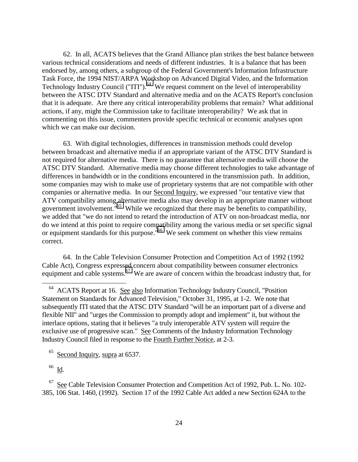62. In all, ACATS believes that the Grand Alliance plan strikes the best balance between various technical considerations and needs of different industries. It is a balance that has been endorsed by, among others, a subgroup of the Federal Government's Information Infrastructure Task Force, the 1994 NIST/ARPA Workshop on Advanced Digital Video, and the Information Technology Industry Council ("ITI").<sup>64</sup> We request comment on the level of interoperability between the ATSC DTV Standard and alternative media and on the ACATS Report's conclusion that it is adequate. Are there any critical interoperability problems that remain? What additional actions, if any, might the Commission take to facilitate interoperability? We ask that in commenting on this issue, commenters provide specific technical or economic analyses upon which we can make our decision.

63. With digital technologies, differences in transmission methods could develop between broadcast and alternative media if an appropriate variant of the ATSC DTV Standard is not required for alternative media. There is no guarantee that alternative media will choose the ATSC DTV Standard. Alternative media may choose different technologies to take advantage of differences in bandwidth or in the conditions encountered in the transmission path. In addition, some companies may wish to make use of proprietary systems that are not compatible with other companies or alternative media. In our Second Inquiry, we expressed "our tentative view that ATV compatibility among alternative media also may develop in an appropriate manner without government involvement."<sup>65</sup> While we recognized that there may be benefits to compatibility, we added that "we do not intend to retard the introduction of ATV on non-broadcast media, nor do we intend at this point to require compatibility among the various media or set specific signal or equipment standards for this purpose.<sup>"66</sup> We seek comment on whether this view remains correct.

64. In the Cable Television Consumer Protection and Competition Act of 1992 (1992 Cable Act), Congress expressed concern about compatibility between consumer electronics equipment and cable systems.<sup>67</sup> We are aware of concern within the broadcast industry that, for

 $^{66}$  <u>Id</u>.

64 ACATS Report at 16. See also Information Technology Industry Council, "Position Statement on Standards for Advanced Television," October 31, 1995, at 1-2. We note that subsequently ITI stated that the ATSC DTV Standard "will be an important part of a diverse and flexible NII" and "urges the Commission to promptly adopt and implement" it, but without the interlace options, stating that it believes "a truly interoperable ATV system will require the exclusive use of progressive scan." See Comments of the Industry Information Technology Industry Council filed in response to the Fourth Further Notice, at 2-3.

<sup>&</sup>lt;sup>65</sup> Second Inquiry, supra at 6537.

67 See Cable Television Consumer Protection and Competition Act of 1992, Pub. L. No. 102- 385, 106 Stat. 1460, (1992). Section 17 of the 1992 Cable Act added a new Section 624A to the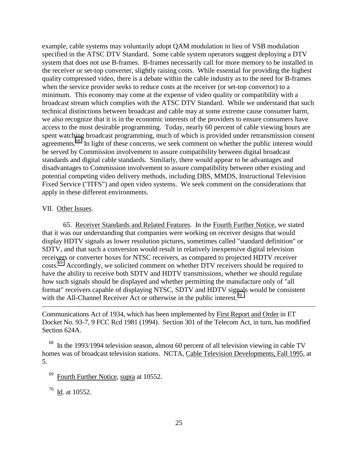example, cable systems may voluntarily adopt QAM modulation in lieu of VSB modulation specified in the ATSC DTV Standard. Some cable system operators suggest deploying a DTV system that does not use B-frames. B-frames necessarily call for more memory to be installed in the receiver or set-top converter, slightly raising costs. While essential for providing the highest quality compressed video, there is a debate within the cable industry as to the need for B-frames when the service provider seeks to reduce costs at the receiver (or set-top convertor) to a minimum. This economy may come at the expense of video quality or compatibility with a broadcast stream which complies with the ATSC DTV Standard. While we understand that such technical distinctions between broadcast and cable may at some extreme cause consumer harm, we also recognize that it is in the economic interests of the providers to ensure consumers have access to the most desirable programming. Today, nearly 60 percent of cable viewing hours are spent watching broadcast programming, much of which is provided under retransmission consent agreements.<sup>68</sup> In light of these concerns, we seek comment on whether the public interest would be served by Commission involvement to assure compatibility between digital broadcast standards and digital cable standards. Similarly, there would appear to be advantages and disadvantages to Commission involvement to assure compatibility between other existing and potential competing video delivery methods, including DBS, MMDS, Instructional Television Fixed Service ("ITFS") and open video systems. We seek comment on the considerations that apply in these different environments.

### VII. Other Issues.

 $\overline{a}$ 

65. Receiver Standards and Related Features. In the Fourth Further Notice, we stated that it was our understanding that companies were working on receiver designs that would display HDTV signals as lower resolution pictures, sometimes called "standard definition" or SDTV, and that such a conversion would result in relatively inexpensive digital television receivers or converter boxes for NTSC receivers, as compared to projected HDTV receiver costs.<sup>69</sup> Accordingly, we solicited comment on whether DTV receivers should be required to have the ability to receive both SDTV and HDTV transmissions, whether we should regulate how such signals should be displayed and whether permitting the manufacture only of "all format" receivers capable of displaying NTSC, SDTV and HDTV signals would be consistent with the All-Channel Receiver Act or otherwise in the public interest.<sup>70</sup>

Communications Act of 1934, which has been implemented by First Report and Order in ET Docket No. 93-7, 9 FCC Rcd 1981 (1994). Section 301 of the Telecom Act, in turn, has modified Section 624A.

 $68$  In the 1993/1994 television season, almost 60 percent of all television viewing in cable TV homes was of broadcast television stations. NCTA, Cable Television Developments, Fall 1995, at 5.

Fourth Further Notice, supra at 10552.

70 Id. at 10552.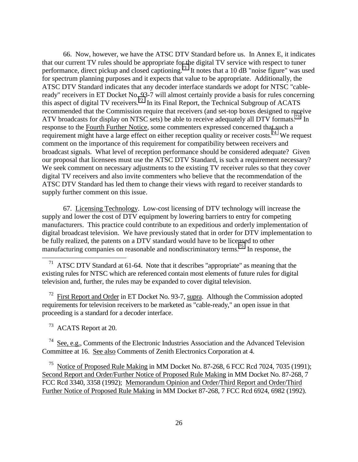66. Now, however, we have the ATSC DTV Standard before us. In Annex E, it indicates that our current TV rules should be appropriate for the digital TV service with respect to tuner performance, direct pickup and closed captioning.<sup>71</sup> It notes that a 10 dB "noise figure" was used for spectrum planning purposes and it expects that value to be appropriate. Additionally, the ATSC DTV Standard indicates that any decoder interface standards we adopt for NTSC "cableready" receivers in ET Docket No. 93-7 will almost certainly provide a basis for rules concerning this aspect of digital TV receivers.<sup>72</sup> In its Final Report, the Technical Subgroup of ACATS recommended that the Commission require that receivers (and set-top boxes designed to receive ATV broadcasts for display on NTSC sets) be able to receive adequately all DTV formats.<sup>73</sup> In response to the Fourth Further Notice, some commenters expressed concerned that such a requirement might have a large effect on either reception quality or receiver costs.<sup>74</sup> We request comment on the importance of this requirement for compatibility between receivers and broadcast signals. What level of reception performance should be considered adequate? Given our proposal that licensees must use the ATSC DTV Standard, is such a requirement necessary? We seek comment on necessary adjustments to the existing TV receiver rules so that they cover digital TV receivers and also invite commenters who believe that the recommendation of the ATSC DTV Standard has led them to change their views with regard to receiver standards to supply further comment on this issue.

67. Licensing Technology. Low-cost licensing of DTV technology will increase the supply and lower the cost of DTV equipment by lowering barriers to entry for competing manufacturers. This practice could contribute to an expeditious and orderly implementation of digital broadcast television. We have previously stated that in order for DTV implementation to be fully realized, the patents on a DTV standard would have to be licensed to other manufacturing companies on reasonable and nondiscriminatory terms.<sup>75</sup> In response, the

<sup>71</sup> ATSC DTV Standard at 61-64. Note that it describes "appropriate" as meaning that the existing rules for NTSC which are referenced contain most elements of future rules for digital television and, further, the rules may be expanded to cover digital television.

 $72$  First Report and Order in ET Docket No. 93-7, supra. Although the Commission adopted requirements for television receivers to be marketed as "cable-ready," an open issue in that proceeding is a standard for a decoder interface.

73 ACATS Report at 20.

 $\overline{a}$ 

 $74$  See, e.g., Comments of the Electronic Industries Association and the Advanced Television Committee at 16. See also Comments of Zenith Electronics Corporation at 4.

<sup>75</sup> Notice of Proposed Rule Making in MM Docket No. 87-268, 6 FCC Rcd 7024, 7035 (1991); Second Report and Order/Further Notice of Proposed Rule Making in MM Docket No. 87-268, 7 FCC Rcd 3340, 3358 (1992); Memorandum Opinion and Order/Third Report and Order/Third Further Notice of Proposed Rule Making in MM Docket 87-268, 7 FCC Rcd 6924, 6982 (1992).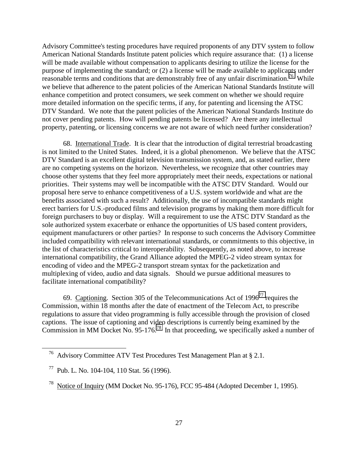Advisory Committee's testing procedures have required proponents of any DTV system to follow American National Standards Institute patent policies which require assurance that: (1) a license will be made available without compensation to applicants desiring to utilize the license for the purpose of implementing the standard; or (2) a license will be made available to applicants under reasonable terms and conditions that are demonstrably free of any unfair discrimination.<sup>76</sup> While we believe that adherence to the patent policies of the American National Standards Institute will enhance competition and protect consumers, we seek comment on whether we should require more detailed information on the specific terms, if any, for patenting and licensing the ATSC DTV Standard. We note that the patent policies of the American National Standards Institute do not cover pending patents. How will pending patents be licensed? Are there any intellectual property, patenting, or licensing concerns we are not aware of which need further consideration?

68. International Trade. It is clear that the introduction of digital terrestrial broadcasting is not limited to the United States. Indeed, it is a global phenomenon. We believe that the ATSC DTV Standard is an excellent digital television transmission system, and, as stated earlier, there are no competing systems on the horizon. Nevertheless, we recognize that other countries may choose other systems that they feel more appropriately meet their needs, expectations or national priorities. Their systems may well be incompatible with the ATSC DTV Standard. Would our proposal here serve to enhance competitiveness of a U.S. system worldwide and what are the benefits associated with such a result? Additionally, the use of incompatible standards might erect barriers for U.S.-produced films and television programs by making them more difficult for foreign purchasers to buy or display. Will a requirement to use the ATSC DTV Standard as the sole authorized system exacerbate or enhance the opportunities of US based content providers, equipment manufacturers or other parties? In response to such concerns the Advisory Committee included compatibility with relevant international standards, or commitments to this objective, in the list of characteristics critical to interoperability. Subsequently, as noted above, to increase international compatibility, the Grand Alliance adopted the MPEG-2 video stream syntax for encoding of video and the MPEG-2 transport stream syntax for the packetization and multiplexing of video, audio and data signals. Should we pursue additional measures to facilitate international compatibility?

69. Captioning. Section 305 of the Telecommunications Act of  $1996^{77}$  requires the Commission, within 18 months after the date of enactment of the Telecom Act, to prescribe regulations to assure that video programming is fully accessible through the provision of closed captions. The issue of captioning and video descriptions is currently being examined by the Commission in MM Docket No.  $95-176^{78}$  In that proceeding, we specifically asked a number of

76 Advisory Committee ATV Test Procedures Test Management Plan at § 2.1.

77 Pub. L. No. 104-104, 110 Stat. 56 (1996).

78 Notice of Inquiry (MM Docket No. 95-176), FCC 95-484 (Adopted December 1, 1995).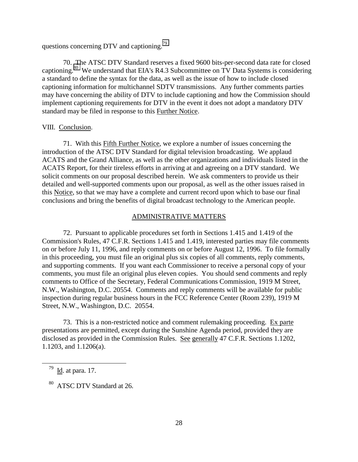questions concerning DTV and captioning.<sup>79</sup>

70. The ATSC DTV Standard reserves a fixed 9600 bits-per-second data rate for closed captioning.80 We understand that EIA's R4.3 Subcommittee on TV Data Systems is considering a standard to define the syntax for the data, as well as the issue of how to include closed captioning information for multichannel SDTV transmissions. Any further comments parties may have concerning the ability of DTV to include captioning and how the Commission should implement captioning requirements for DTV in the event it does not adopt a mandatory DTV standard may be filed in response to this Further Notice.

#### VIII. Conclusion.

71. With this Fifth Further Notice, we explore a number of issues concerning the introduction of the ATSC DTV Standard for digital television broadcasting. We applaud ACATS and the Grand Alliance, as well as the other organizations and individuals listed in the ACATS Report, for their tireless efforts in arriving at and agreeing on a DTV standard. We solicit comments on our proposal described herein. We ask commenters to provide us their detailed and well-supported comments upon our proposal, as well as the other issues raised in this Notice, so that we may have a complete and current record upon which to base our final conclusions and bring the benefits of digital broadcast technology to the American people.

### ADMINISTRATIVE MATTERS

72. Pursuant to applicable procedures set forth in Sections 1.415 and 1.419 of the Commission's Rules, 47 C.F.R. Sections 1.415 and 1.419, interested parties may file comments on or before July 11, 1996, and reply comments on or before August 12, 1996. To file formally in this proceeding, you must file an original plus six copies of all comments, reply comments, and supporting comments. If you want each Commissioner to receive a personal copy of your comments, you must file an original plus eleven copies. You should send comments and reply comments to Office of the Secretary, Federal Communications Commission, 1919 M Street, N.W., Washington, D.C. 20554. Comments and reply comments will be available for public inspection during regular business hours in the FCC Reference Center (Room 239), 1919 M Street, N.W., Washington, D.C. 20554.

73. This is a non-restricted notice and comment rulemaking proceeding. Ex parte presentations are permitted, except during the Sunshine Agenda period, provided they are disclosed as provided in the Commission Rules. See generally 47 C.F.R. Sections 1.1202, 1.1203, and 1.1206(a).

 $^{79}$  <u>Id</u>. at para. 17.

80 ATSC DTV Standard at 26.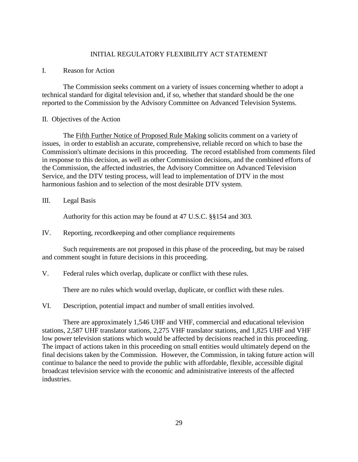### INITIAL REGULATORY FLEXIBILITY ACT STATEMENT

### I. Reason for Action

The Commission seeks comment on a variety of issues concerning whether to adopt a technical standard for digital television and, if so, whether that standard should be the one reported to the Commission by the Advisory Committee on Advanced Television Systems.

#### II. Objectives of the Action

The Fifth Further Notice of Proposed Rule Making solicits comment on a variety of issues, in order to establish an accurate, comprehensive, reliable record on which to base the Commission's ultimate decisions in this proceeding. The record established from comments filed in response to this decision, as well as other Commission decisions, and the combined efforts of the Commission, the affected industries, the Advisory Committee on Advanced Television Service, and the DTV testing process, will lead to implementation of DTV in the most harmonious fashion and to selection of the most desirable DTV system.

## III. Legal Basis

Authority for this action may be found at 47 U.S.C. §§154 and 303.

IV. Reporting, recordkeeping and other compliance requirements

Such requirements are not proposed in this phase of the proceeding, but may be raised and comment sought in future decisions in this proceeding.

V. Federal rules which overlap, duplicate or conflict with these rules.

There are no rules which would overlap, duplicate, or conflict with these rules.

VI. Description, potential impact and number of small entities involved.

There are approximately 1,546 UHF and VHF, commercial and educational television stations, 2,587 UHF translator stations, 2,275 VHF translator stations, and 1,825 UHF and VHF low power television stations which would be affected by decisions reached in this proceeding. The impact of actions taken in this proceeding on small entities would ultimately depend on the final decisions taken by the Commission. However, the Commission, in taking future action will continue to balance the need to provide the public with affordable, flexible, accessible digital broadcast television service with the economic and administrative interests of the affected industries.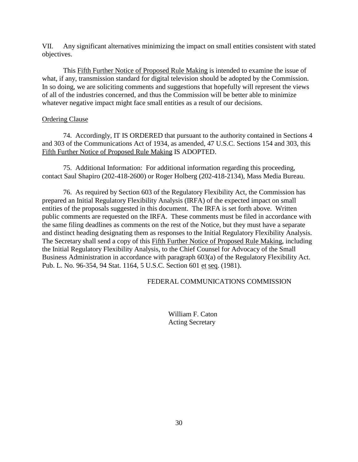VII. Any significant alternatives minimizing the impact on small entities consistent with stated objectives.

This Fifth Further Notice of Proposed Rule Making is intended to examine the issue of what, if any, transmission standard for digital television should be adopted by the Commission. In so doing, we are soliciting comments and suggestions that hopefully will represent the views of all of the industries concerned, and thus the Commission will be better able to minimize whatever negative impact might face small entities as a result of our decisions.

# Ordering Clause

74. Accordingly, IT IS ORDERED that pursuant to the authority contained in Sections 4 and 303 of the Communications Act of 1934, as amended, 47 U.S.C. Sections 154 and 303, this Fifth Further Notice of Proposed Rule Making IS ADOPTED.

75. Additional Information: For additional information regarding this proceeding, contact Saul Shapiro (202-418-2600) or Roger Holberg (202-418-2134), Mass Media Bureau.

76. As required by Section 603 of the Regulatory Flexibility Act, the Commission has prepared an Initial Regulatory Flexibility Analysis (IRFA) of the expected impact on small entities of the proposals suggested in this document. The IRFA is set forth above. Written public comments are requested on the IRFA. These comments must be filed in accordance with the same filing deadlines as comments on the rest of the Notice, but they must have a separate and distinct heading designating them as responses to the Initial Regulatory Flexibility Analysis. The Secretary shall send a copy of this Fifth Further Notice of Proposed Rule Making, including the Initial Regulatory Flexibility Analysis, to the Chief Counsel for Advocacy of the Small Business Administration in accordance with paragraph 603(a) of the Regulatory Flexibility Act. Pub. L. No. 96-354, 94 Stat. 1164, 5 U.S.C. Section 601 et seq. (1981).

## FEDERAL COMMUNICATIONS COMMISSION

William F. Caton Acting Secretary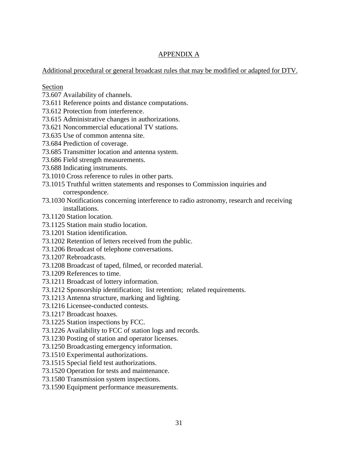# APPENDIX A

# Additional procedural or general broadcast rules that may be modified or adapted for DTV.

# Section

- 73.607 Availability of channels.
- 73.611 Reference points and distance computations.
- 73.612 Protection from interference.
- 73.615 Administrative changes in authorizations.
- 73.621 Noncommercial educational TV stations.
- 73.635 Use of common antenna site.
- 73.684 Prediction of coverage.
- 73.685 Transmitter location and antenna system.
- 73.686 Field strength measurements.
- 73.688 Indicating instruments.
- 73.1010 Cross reference to rules in other parts.
- 73.1015 Truthful written statements and responses to Commission inquiries and correspondence.
- 73.1030 Notifications concerning interference to radio astronomy, research and receiving installations.
- 73.1120 Station location.
- 73.1125 Station main studio location.
- 73.1201 Station identification.
- 73.1202 Retention of letters received from the public.
- 73.1206 Broadcast of telephone conversations.
- 73.1207 Rebroadcasts.
- 73.1208 Broadcast of taped, filmed, or recorded material.
- 73.1209 References to time.
- 73.1211 Broadcast of lottery information.
- 73.1212 Sponsorship identification; list retention; related requirements.
- 73.1213 Antenna structure, marking and lighting.
- 73.1216 Licensee-conducted contests.
- 73.1217 Broadcast hoaxes.
- 73.1225 Station inspections by FCC.
- 73.1226 Availability to FCC of station logs and records.
- 73.1230 Posting of station and operator licenses.
- 73.1250 Broadcasting emergency information.
- 73.1510 Experimental authorizations.
- 73.1515 Special field test authorizations.
- 73.1520 Operation for tests and maintenance.
- 73.1580 Transmission system inspections.
- 73.1590 Equipment performance measurements.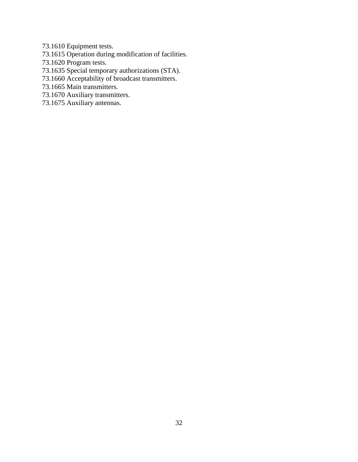- 73.1610 Equipment tests.
- 73.1615 Operation during modification of facilities.
- 73.1620 Program tests.
- 73.1635 Special temporary authorizations (STA).
- 73.1660 Acceptability of broadcast transmitters.
- 73.1665 Main transmitters.
- 73.1670 Auxiliary transmitters.
- 73.1675 Auxiliary antennas.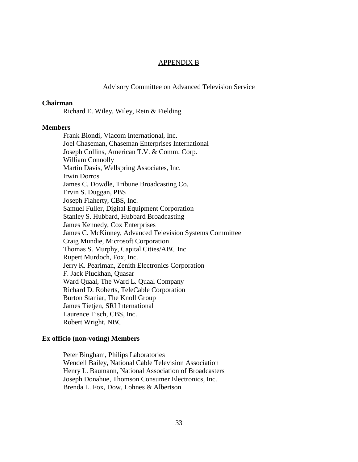#### APPENDIX B

### Advisory Committee on Advanced Television Service

#### **Chairman**

Richard E. Wiley, Wiley, Rein & Fielding

#### **Members**

Frank Biondi, Viacom International, Inc. Joel Chaseman, Chaseman Enterprises International Joseph Collins, American T.V. & Comm. Corp. William Connolly Martin Davis, Wellspring Associates, Inc. Irwin Dorros James C. Dowdle, Tribune Broadcasting Co. Ervin S. Duggan, PBS Joseph Flaherty, CBS, Inc. Samuel Fuller, Digital Equipment Corporation Stanley S. Hubbard, Hubbard Broadcasting James Kennedy, Cox Enterprises James C. McKinney, Advanced Television Systems Committee Craig Mundie, Microsoft Corporation Thomas S. Murphy, Capital Cities/ABC Inc. Rupert Murdoch, Fox, Inc. Jerry K. Pearlman, Zenith Electronics Corporation F. Jack Pluckhan, Quasar Ward Quaal, The Ward L. Quaal Company Richard D. Roberts, TeleCable Corporation Burton Staniar, The Knoll Group James Tietjen, SRI International Laurence Tisch, CBS, Inc. Robert Wright, NBC

#### **Ex officio (non-voting) Members**

Peter Bingham, Philips Laboratories Wendell Bailey, National Cable Television Association Henry L. Baumann, National Association of Broadcasters Joseph Donahue, Thomson Consumer Electronics, Inc. Brenda L. Fox, Dow, Lohnes & Albertson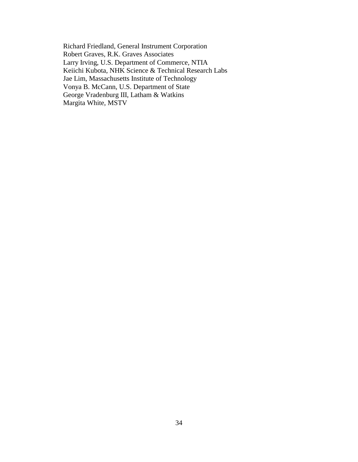Richard Friedland, General Instrument Corporation Robert Graves, R.K. Graves Associates Larry Irving, U.S. Department of Commerce, NTIA Keiichi Kubota, NHK Science & Technical Research Labs Jae Lim, Massachusetts Institute of Technology Vonya B. McCann, U.S. Department of State George Vradenburg III, Latham & Watkins Margita White, MSTV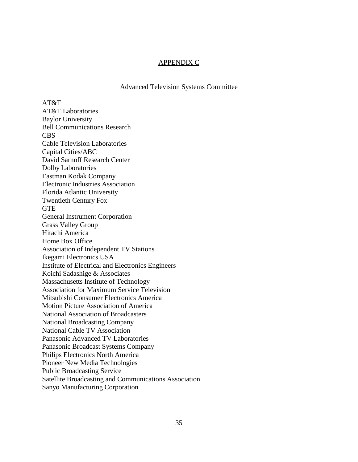## APPENDIX C

Advanced Television Systems Committee

AT&T AT&T Laboratories Baylor University Bell Communications Research CBS Cable Television Laboratories Capital Cities/ABC David Sarnoff Research Center Dolby Laboratories Eastman Kodak Company Electronic Industries Association Florida Atlantic University Twentieth Century Fox **GTE** General Instrument Corporation Grass Valley Group Hitachi America Home Box Office Association of Independent TV Stations Ikegami Electronics USA Institute of Electrical and Electronics Engineers Koichi Sadashige & Associates Massachusetts Institute of Technology Association for Maximum Service Television Mitsubishi Consumer Electronics America Motion Picture Association of America National Association of Broadcasters National Broadcasting Company National Cable TV Association Panasonic Advanced TV Laboratories Panasonic Broadcast Systems Company Philips Electronics North America Pioneer New Media Technologies Public Broadcasting Service Satellite Broadcasting and Communications Association Sanyo Manufacturing Corporation